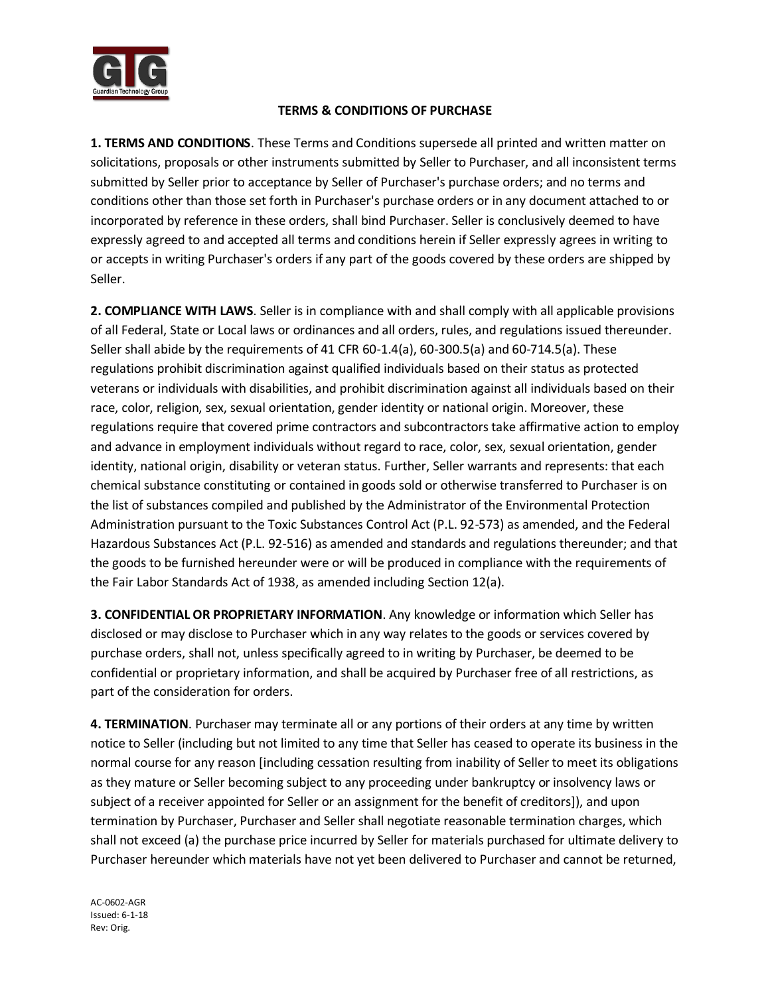

## **TERMS & CONDITIONS OF PURCHASE**

**1. TERMS AND CONDITIONS**. These Terms and Conditions supersede all printed and written matter on solicitations, proposals or other instruments submitted by Seller to Purchaser, and all inconsistent terms submitted by Seller prior to acceptance by Seller of Purchaser's purchase orders; and no terms and conditions other than those set forth in Purchaser's purchase orders or in any document attached to or incorporated by reference in these orders, shall bind Purchaser. Seller is conclusively deemed to have expressly agreed to and accepted all terms and conditions herein if Seller expressly agrees in writing to or accepts in writing Purchaser's orders if any part of the goods covered by these orders are shipped by Seller.

**2. COMPLIANCE WITH LAWS**. Seller is in compliance with and shall comply with all applicable provisions of all Federal, State or Local laws or ordinances and all orders, rules, and regulations issued thereunder. Seller shall abide by the requirements of 41 CFR 60-1.4(a), 60-300.5(a) and 60-714.5(a). These regulations prohibit discrimination against qualified individuals based on their status as protected veterans or individuals with disabilities, and prohibit discrimination against all individuals based on their race, color, religion, sex, sexual orientation, gender identity or national origin. Moreover, these regulations require that covered prime contractors and subcontractors take affirmative action to employ and advance in employment individuals without regard to race, color, sex, sexual orientation, gender identity, national origin, disability or veteran status. Further, Seller warrants and represents: that each chemical substance constituting or contained in goods sold or otherwise transferred to Purchaser is on the list of substances compiled and published by the Administrator of the Environmental Protection Administration pursuant to the Toxic Substances Control Act (P.L. 92-573) as amended, and the Federal Hazardous Substances Act (P.L. 92-516) as amended and standards and regulations thereunder; and that the goods to be furnished hereunder were or will be produced in compliance with the requirements of the Fair Labor Standards Act of 1938, as amended including Section 12(a).

**3. CONFIDENTIAL OR PROPRIETARY INFORMATION**. Any knowledge or information which Seller has disclosed or may disclose to Purchaser which in any way relates to the goods or services covered by purchase orders, shall not, unless specifically agreed to in writing by Purchaser, be deemed to be confidential or proprietary information, and shall be acquired by Purchaser free of all restrictions, as part of the consideration for orders.

**4. TERMINATION**. Purchaser may terminate all or any portions of their orders at any time by written notice to Seller (including but not limited to any time that Seller has ceased to operate its business in the normal course for any reason [including cessation resulting from inability of Seller to meet its obligations as they mature or Seller becoming subject to any proceeding under bankruptcy or insolvency laws or subject of a receiver appointed for Seller or an assignment for the benefit of creditors]), and upon termination by Purchaser, Purchaser and Seller shall negotiate reasonable termination charges, which shall not exceed (a) the purchase price incurred by Seller for materials purchased for ultimate delivery to Purchaser hereunder which materials have not yet been delivered to Purchaser and cannot be returned,

AC-0602-AGR Issued: 6-1-18 Rev: Orig.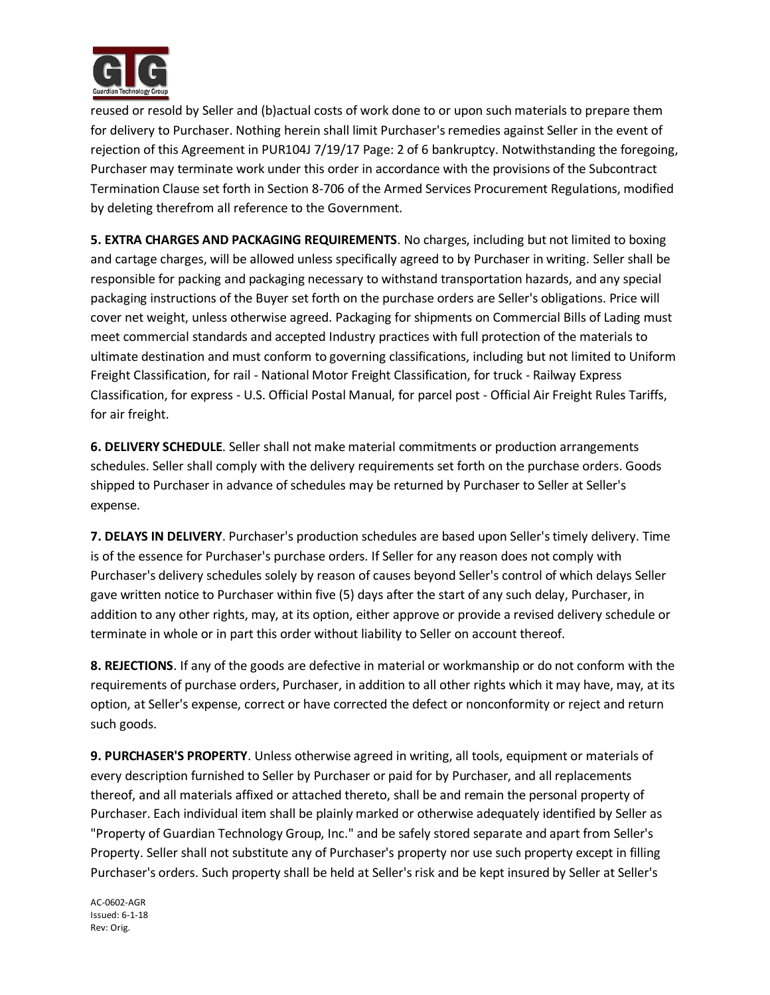

reused or resold by Seller and (b)actual costs of work done to or upon such materials to prepare them for delivery to Purchaser. Nothing herein shall limit Purchaser's remedies against Seller in the event of rejection of this Agreement in PUR104J 7/19/17 Page: 2 of 6 bankruptcy. Notwithstanding the foregoing, Purchaser may terminate work under this order in accordance with the provisions of the Subcontract Termination Clause set forth in Section 8-706 of the Armed Services Procurement Regulations, modified by deleting therefrom all reference to the Government.

**5. EXTRA CHARGES AND PACKAGING REQUIREMENTS**. No charges, including but not limited to boxing and cartage charges, will be allowed unless specifically agreed to by Purchaser in writing. Seller shall be responsible for packing and packaging necessary to withstand transportation hazards, and any special packaging instructions of the Buyer set forth on the purchase orders are Seller's obligations. Price will cover net weight, unless otherwise agreed. Packaging for shipments on Commercial Bills of Lading must meet commercial standards and accepted Industry practices with full protection of the materials to ultimate destination and must conform to governing classifications, including but not limited to Uniform Freight Classification, for rail - National Motor Freight Classification, for truck - Railway Express Classification, for express - U.S. Official Postal Manual, for parcel post - Official Air Freight Rules Tariffs, for air freight.

**6. DELIVERY SCHEDULE**. Seller shall not make material commitments or production arrangements schedules. Seller shall comply with the delivery requirements set forth on the purchase orders. Goods shipped to Purchaser in advance of schedules may be returned by Purchaser to Seller at Seller's expense.

**7. DELAYS IN DELIVERY**. Purchaser's production schedules are based upon Seller's timely delivery. Time is of the essence for Purchaser's purchase orders. If Seller for any reason does not comply with Purchaser's delivery schedules solely by reason of causes beyond Seller's control of which delays Seller gave written notice to Purchaser within five (5) days after the start of any such delay, Purchaser, in addition to any other rights, may, at its option, either approve or provide a revised delivery schedule or terminate in whole or in part this order without liability to Seller on account thereof.

**8. REJECTIONS**. If any of the goods are defective in material or workmanship or do not conform with the requirements of purchase orders, Purchaser, in addition to all other rights which it may have, may, at its option, at Seller's expense, correct or have corrected the defect or nonconformity or reject and return such goods.

**9. PURCHASER'S PROPERTY**. Unless otherwise agreed in writing, all tools, equipment or materials of every description furnished to Seller by Purchaser or paid for by Purchaser, and all replacements thereof, and all materials affixed or attached thereto, shall be and remain the personal property of Purchaser. Each individual item shall be plainly marked or otherwise adequately identified by Seller as "Property of Guardian Technology Group, Inc." and be safely stored separate and apart from Seller's Property. Seller shall not substitute any of Purchaser's property nor use such property except in filling Purchaser's orders. Such property shall be held at Seller's risk and be kept insured by Seller at Seller's

AC-0602-AGR Issued: 6-1-18 Rev: Orig.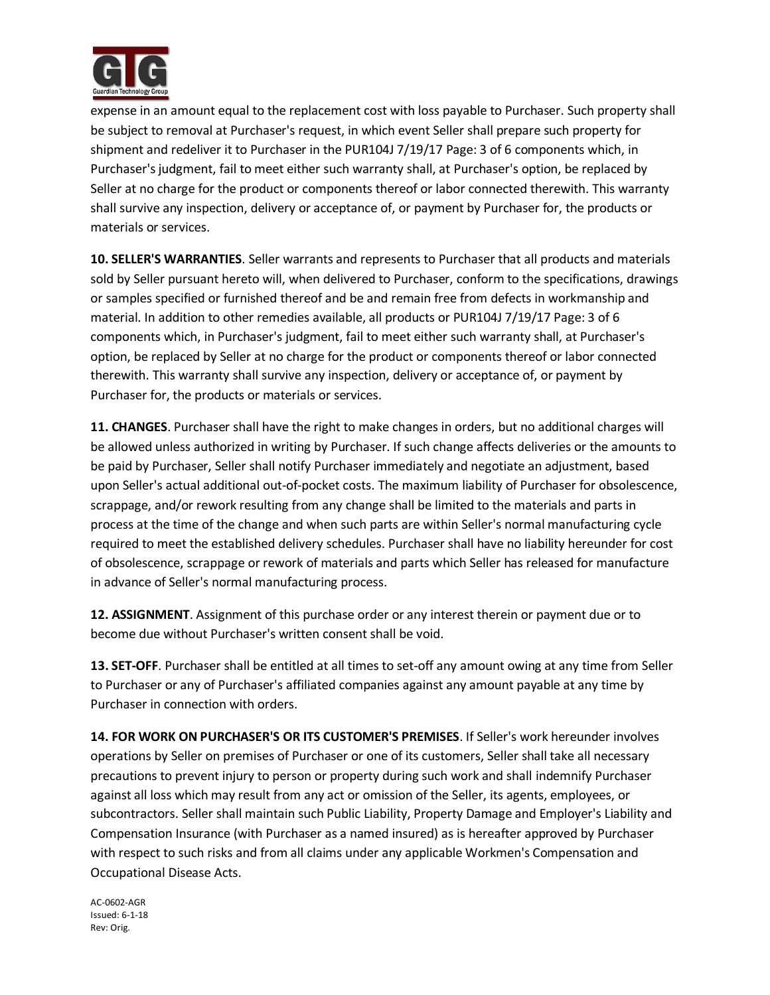

expense in an amount equal to the replacement cost with loss payable to Purchaser. Such property shall be subject to removal at Purchaser's request, in which event Seller shall prepare such property for shipment and redeliver it to Purchaser in the PUR104J 7/19/17 Page: 3 of 6 components which, in Purchaser's judgment, fail to meet either such warranty shall, at Purchaser's option, be replaced by Seller at no charge for the product or components thereof or labor connected therewith. This warranty shall survive any inspection, delivery or acceptance of, or payment by Purchaser for, the products or materials or services.

**10. SELLER'S WARRANTIES**. Seller warrants and represents to Purchaser that all products and materials sold by Seller pursuant hereto will, when delivered to Purchaser, conform to the specifications, drawings or samples specified or furnished thereof and be and remain free from defects in workmanship and material. In addition to other remedies available, all products or PUR104J 7/19/17 Page: 3 of 6 components which, in Purchaser's judgment, fail to meet either such warranty shall, at Purchaser's option, be replaced by Seller at no charge for the product or components thereof or labor connected therewith. This warranty shall survive any inspection, delivery or acceptance of, or payment by Purchaser for, the products or materials or services.

**11. CHANGES**. Purchaser shall have the right to make changes in orders, but no additional charges will be allowed unless authorized in writing by Purchaser. If such change affects deliveries or the amounts to be paid by Purchaser, Seller shall notify Purchaser immediately and negotiate an adjustment, based upon Seller's actual additional out-of-pocket costs. The maximum liability of Purchaser for obsolescence, scrappage, and/or rework resulting from any change shall be limited to the materials and parts in process at the time of the change and when such parts are within Seller's normal manufacturing cycle required to meet the established delivery schedules. Purchaser shall have no liability hereunder for cost of obsolescence, scrappage or rework of materials and parts which Seller has released for manufacture in advance of Seller's normal manufacturing process.

**12. ASSIGNMENT**. Assignment of this purchase order or any interest therein or payment due or to become due without Purchaser's written consent shall be void.

**13. SET-OFF**. Purchaser shall be entitled at all times to set-off any amount owing at any time from Seller to Purchaser or any of Purchaser's affiliated companies against any amount payable at any time by Purchaser in connection with orders.

**14. FOR WORK ON PURCHASER'S OR ITS CUSTOMER'S PREMISES**. If Seller's work hereunder involves operations by Seller on premises of Purchaser or one of its customers, Seller shall take all necessary precautions to prevent injury to person or property during such work and shall indemnify Purchaser against all loss which may result from any act or omission of the Seller, its agents, employees, or subcontractors. Seller shall maintain such Public Liability, Property Damage and Employer's Liability and Compensation Insurance (with Purchaser as a named insured) as is hereafter approved by Purchaser with respect to such risks and from all claims under any applicable Workmen's Compensation and Occupational Disease Acts.

AC-0602-AGR Issued: 6-1-18 Rev: Orig.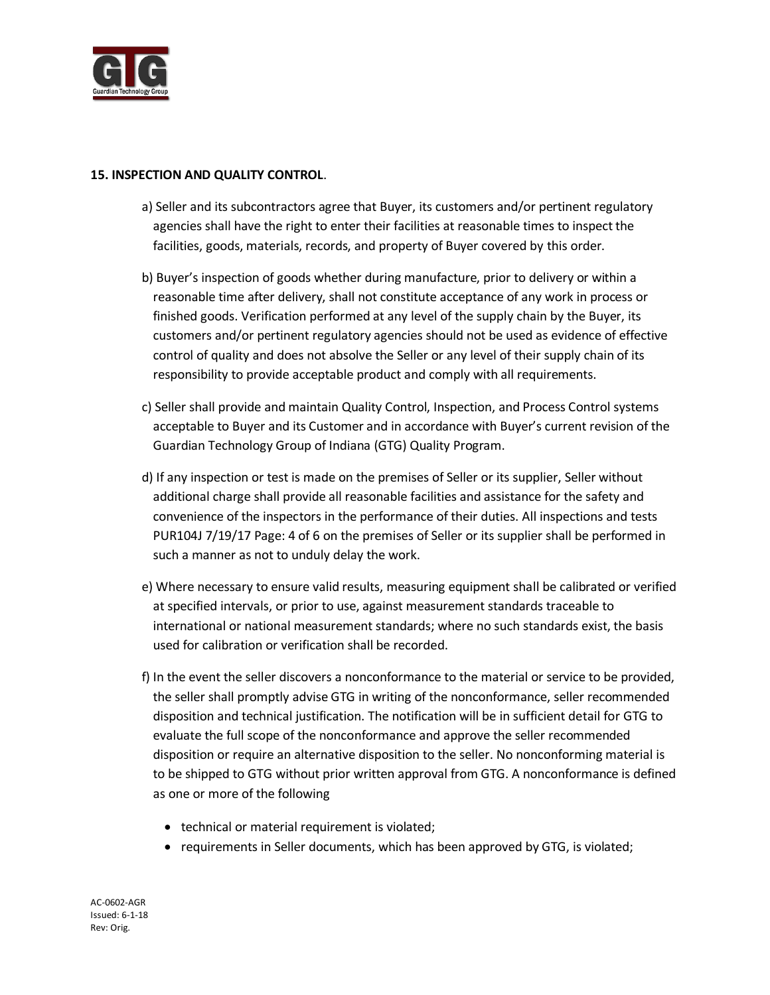

## **15. INSPECTION AND QUALITY CONTROL**.

- a) Seller and its subcontractors agree that Buyer, its customers and/or pertinent regulatory agencies shall have the right to enter their facilities at reasonable times to inspect the facilities, goods, materials, records, and property of Buyer covered by this order.
- b) Buyer's inspection of goods whether during manufacture, prior to delivery or within a reasonable time after delivery, shall not constitute acceptance of any work in process or finished goods. Verification performed at any level of the supply chain by the Buyer, its customers and/or pertinent regulatory agencies should not be used as evidence of effective control of quality and does not absolve the Seller or any level of their supply chain of its responsibility to provide acceptable product and comply with all requirements.
- c) Seller shall provide and maintain Quality Control, Inspection, and Process Control systems acceptable to Buyer and its Customer and in accordance with Buyer's current revision of the Guardian Technology Group of Indiana (GTG) Quality Program.
- d) If any inspection or test is made on the premises of Seller or its supplier, Seller without additional charge shall provide all reasonable facilities and assistance for the safety and convenience of the inspectors in the performance of their duties. All inspections and tests PUR104J 7/19/17 Page: 4 of 6 on the premises of Seller or its supplier shall be performed in such a manner as not to unduly delay the work.
- e) Where necessary to ensure valid results, measuring equipment shall be calibrated or verified at specified intervals, or prior to use, against measurement standards traceable to international or national measurement standards; where no such standards exist, the basis used for calibration or verification shall be recorded.
- f) In the event the seller discovers a nonconformance to the material or service to be provided, the seller shall promptly advise GTG in writing of the nonconformance, seller recommended disposition and technical justification. The notification will be in sufficient detail for GTG to evaluate the full scope of the nonconformance and approve the seller recommended disposition or require an alternative disposition to the seller. No nonconforming material is to be shipped to GTG without prior written approval from GTG. A nonconformance is defined as one or more of the following
	- technical or material requirement is violated;
	- requirements in Seller documents, which has been approved by GTG, is violated;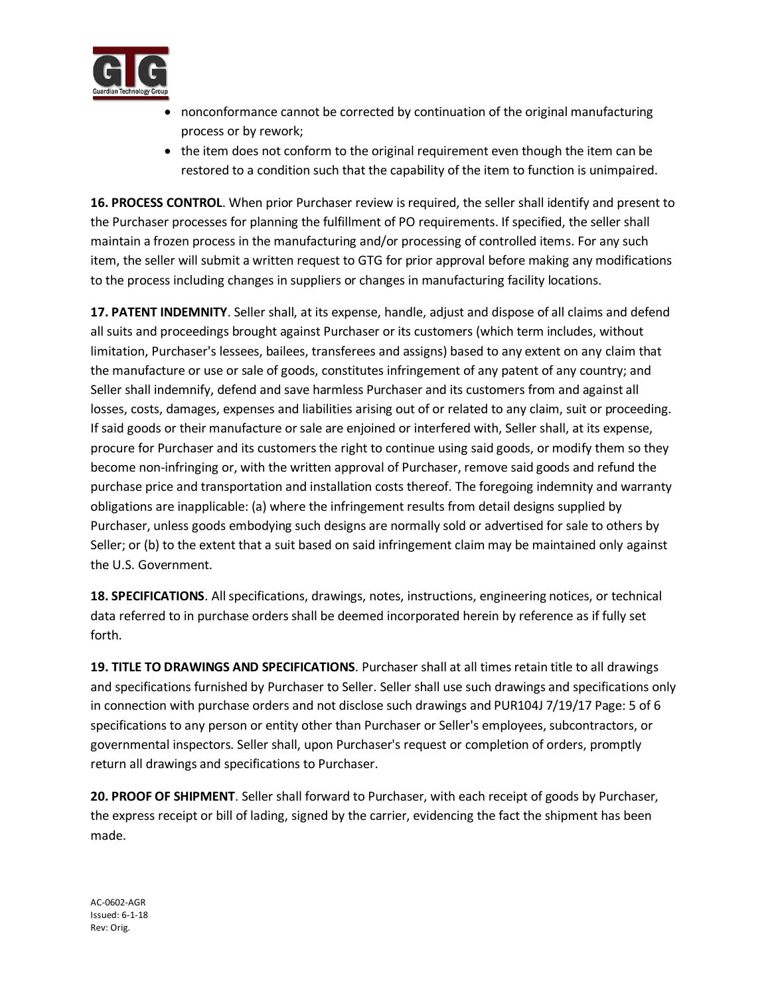

- nonconformance cannot be corrected by continuation of the original manufacturing process or by rework;
- the item does not conform to the original requirement even though the item can be restored to a condition such that the capability of the item to function is unimpaired.

**16. PROCESS CONTROL**. When prior Purchaser review is required, the seller shall identify and present to the Purchaser processes for planning the fulfillment of PO requirements. If specified, the seller shall maintain a frozen process in the manufacturing and/or processing of controlled items. For any such item, the seller will submit a written request to GTG for prior approval before making any modifications to the process including changes in suppliers or changes in manufacturing facility locations.

**17. PATENT INDEMNITY**. Seller shall, at its expense, handle, adjust and dispose of all claims and defend all suits and proceedings brought against Purchaser or its customers (which term includes, without limitation, Purchaser's lessees, bailees, transferees and assigns) based to any extent on any claim that the manufacture or use or sale of goods, constitutes infringement of any patent of any country; and Seller shall indemnify, defend and save harmless Purchaser and its customers from and against all losses, costs, damages, expenses and liabilities arising out of or related to any claim, suit or proceeding. If said goods or their manufacture or sale are enjoined or interfered with, Seller shall, at its expense, procure for Purchaser and its customers the right to continue using said goods, or modify them so they become non-infringing or, with the written approval of Purchaser, remove said goods and refund the purchase price and transportation and installation costs thereof. The foregoing indemnity and warranty obligations are inapplicable: (a) where the infringement results from detail designs supplied by Purchaser, unless goods embodying such designs are normally sold or advertised for sale to others by Seller; or (b) to the extent that a suit based on said infringement claim may be maintained only against the U.S. Government.

**18. SPECIFICATIONS**. All specifications, drawings, notes, instructions, engineering notices, or technical data referred to in purchase orders shall be deemed incorporated herein by reference as if fully set forth.

**19. TITLE TO DRAWINGS AND SPECIFICATIONS**. Purchaser shall at all times retain title to all drawings and specifications furnished by Purchaser to Seller. Seller shall use such drawings and specifications only in connection with purchase orders and not disclose such drawings and PUR104J 7/19/17 Page: 5 of 6 specifications to any person or entity other than Purchaser or Seller's employees, subcontractors, or governmental inspectors. Seller shall, upon Purchaser's request or completion of orders, promptly return all drawings and specifications to Purchaser.

**20. PROOF OF SHIPMENT**. Seller shall forward to Purchaser, with each receipt of goods by Purchaser, the express receipt or bill of lading, signed by the carrier, evidencing the fact the shipment has been made.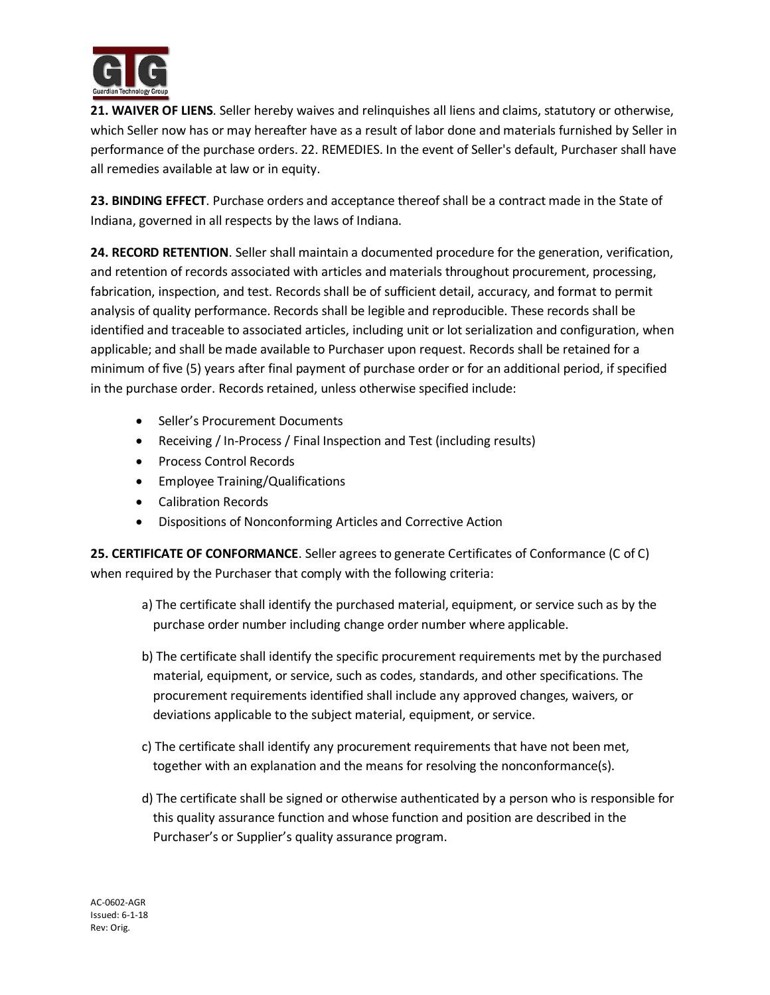

**21. WAIVER OF LIENS**. Seller hereby waives and relinquishes all liens and claims, statutory or otherwise, which Seller now has or may hereafter have as a result of labor done and materials furnished by Seller in performance of the purchase orders. 22. REMEDIES. In the event of Seller's default, Purchaser shall have all remedies available at law or in equity.

**23. BINDING EFFECT**. Purchase orders and acceptance thereof shall be a contract made in the State of Indiana, governed in all respects by the laws of Indiana.

**24. RECORD RETENTION**. Seller shall maintain a documented procedure for the generation, verification, and retention of records associated with articles and materials throughout procurement, processing, fabrication, inspection, and test. Records shall be of sufficient detail, accuracy, and format to permit analysis of quality performance. Records shall be legible and reproducible. These records shall be identified and traceable to associated articles, including unit or lot serialization and configuration, when applicable; and shall be made available to Purchaser upon request. Records shall be retained for a minimum of five (5) years after final payment of purchase order or for an additional period, if specified in the purchase order. Records retained, unless otherwise specified include:

- Seller's Procurement Documents
- Receiving / In-Process / Final Inspection and Test (including results)
- Process Control Records
- Employee Training/Qualifications
- **•** Calibration Records
- Dispositions of Nonconforming Articles and Corrective Action

**25. CERTIFICATE OF CONFORMANCE**. Seller agrees to generate Certificates of Conformance (C of C) when required by the Purchaser that comply with the following criteria:

- a) The certificate shall identify the purchased material, equipment, or service such as by the purchase order number including change order number where applicable.
- b) The certificate shall identify the specific procurement requirements met by the purchased material, equipment, or service, such as codes, standards, and other specifications. The procurement requirements identified shall include any approved changes, waivers, or deviations applicable to the subject material, equipment, or service.
- c) The certificate shall identify any procurement requirements that have not been met, together with an explanation and the means for resolving the nonconformance(s).
- d) The certificate shall be signed or otherwise authenticated by a person who is responsible for this quality assurance function and whose function and position are described in the Purchaser's or Supplier's quality assurance program.